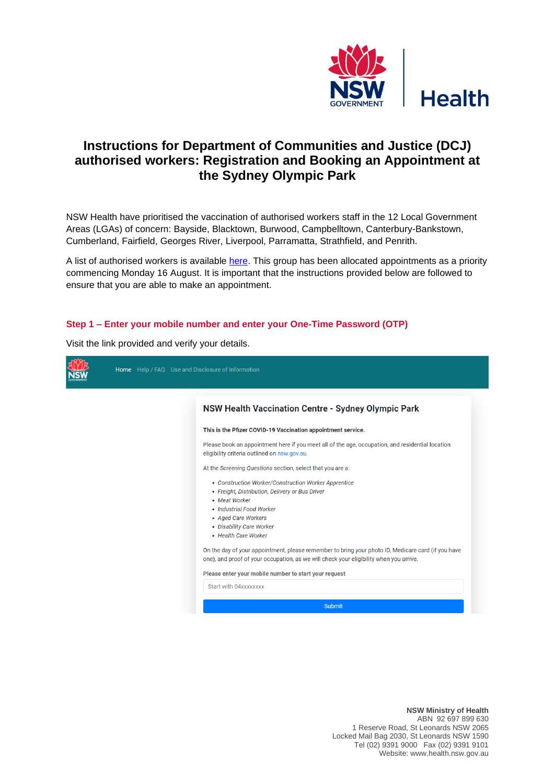

# **Instructions for Department of Communities and Justice (DCJ) authorised workers: Registration and Booking an Appointment at the Sydney Olympic Park**

NSW Health have prioritised the vaccination of authorised workers staff in the 12 Local Government Areas (LGAs) of concern: Bayside, Blacktown, Burwood, Campbelltown, Canterbury-Bankstown, Cumberland, Fairfield, Georges River, Liverpool, Parramatta, Strathfield, and Penrith.

A list of authorised workers is available [here.](https://www.nsw.gov.au/covid-19/health-and-wellbeing/covid-19-vaccination-nsw/authorised-worker-priority-appointments) This group has been allocated appointments as a priority commencing Monday 16 August. It is important that the instructions provided below are followed to ensure that you are able to make an appointment.

#### **Step 1 – Enter your mobile number and enter your One-Time Password (OTP)**

Visit the link provided and verify your details.

| Home Help / FAQ Use and Disclosure of Information                                                                                                                                                                                                                                                                                     |
|---------------------------------------------------------------------------------------------------------------------------------------------------------------------------------------------------------------------------------------------------------------------------------------------------------------------------------------|
| <b>NSW Health Vaccination Centre - Sydney Olympic Park</b>                                                                                                                                                                                                                                                                            |
| This is the Pfizer COVID-19 Vaccination appointment service.                                                                                                                                                                                                                                                                          |
| Please book an appointment here if you meet all of the age, occupation, and residential location<br>eligibility criteria outlined on nsw.gov.au.                                                                                                                                                                                      |
| At the Screening Questions section, select that you are a:                                                                                                                                                                                                                                                                            |
| • Construction Worker/Construction Worker Apprentice<br>• Freight, Distribution, Delivery or Bus Driver<br>• Meat Worker<br>• Industrial Food Worker<br>• Aged Care Workers<br>• Disability Care Worker<br>• Health Care Worker<br>On the day of your appointment, please remember to bring your photo ID, Medicare card (if you have |
| one), and proof of your occupation, as we will check your eligibility when you arrive.                                                                                                                                                                                                                                                |
| Please enter your mobile number to start your request                                                                                                                                                                                                                                                                                 |
| Start with 04xxxxxxxx                                                                                                                                                                                                                                                                                                                 |
| <b>Submit</b>                                                                                                                                                                                                                                                                                                                         |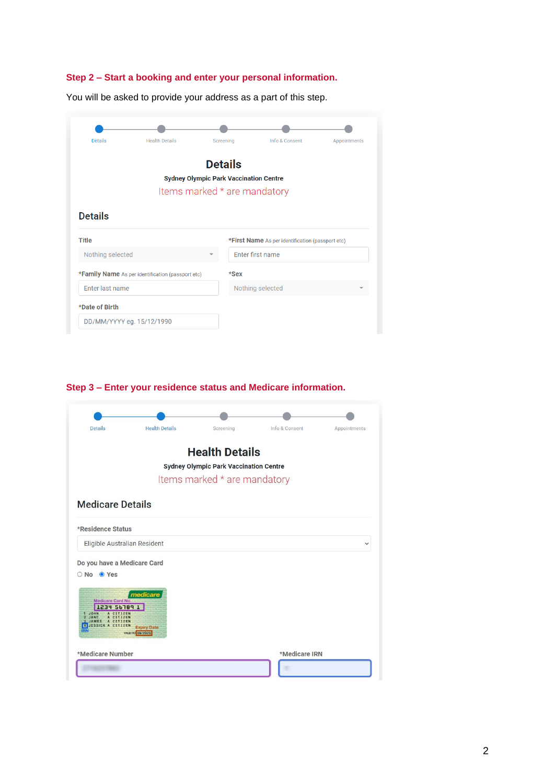## **Step 2 – Start a booking and enter your personal information.**

|  | Screening                                                |                |                                                                                                                                                                           |
|--|----------------------------------------------------------|----------------|---------------------------------------------------------------------------------------------------------------------------------------------------------------------------|
|  |                                                          |                |                                                                                                                                                                           |
|  |                                                          |                |                                                                                                                                                                           |
|  |                                                          |                |                                                                                                                                                                           |
|  |                                                          |                |                                                                                                                                                                           |
|  |                                                          |                |                                                                                                                                                                           |
|  |                                                          |                |                                                                                                                                                                           |
|  |                                                          |                |                                                                                                                                                                           |
|  |                                                          |                |                                                                                                                                                                           |
|  | $*$ Sex                                                  |                |                                                                                                                                                                           |
|  |                                                          |                |                                                                                                                                                                           |
|  |                                                          |                |                                                                                                                                                                           |
|  | <b>*Family Name</b> As per identification (passport etc) | <b>Details</b> | <b>Sydney Olympic Park Vaccination Centre</b><br>Items marked * are mandatory<br>*First Name As per identification (passport etc)<br>Enter first name<br>Nothing selected |

You will be asked to provide your address as a part of this step.

### **Step 3 – Enter your residence status and Medicare information.**

| Details                                                                                                                          | <b>Health Details</b>                             | Screening                                     | Info & Consent | <b>Appointments</b> |
|----------------------------------------------------------------------------------------------------------------------------------|---------------------------------------------------|-----------------------------------------------|----------------|---------------------|
|                                                                                                                                  |                                                   | <b>Health Details</b>                         |                |                     |
|                                                                                                                                  |                                                   | <b>Sydney Olympic Park Vaccination Centre</b> |                |                     |
|                                                                                                                                  |                                                   | Items marked * are mandatory                  |                |                     |
| <b>Medicare Details</b>                                                                                                          |                                                   |                                               |                |                     |
| *Residence Status                                                                                                                |                                                   |                                               |                |                     |
| Eligible Australian Resident                                                                                                     |                                                   |                                               |                | $\check{ }$         |
| Do you have a Medicare Card<br>O No O Yes<br>Medicare Card No.<br>1234 56789 1<br>JOHN<br>JAMES<br>A CITIZEN<br>ESSICA A CITIZEN | medicare<br><b>Expiry Date</b><br>0505/80 08/2020 |                                               |                |                     |
| *Medicare Number                                                                                                                 |                                                   |                                               | *Medicare IRN  |                     |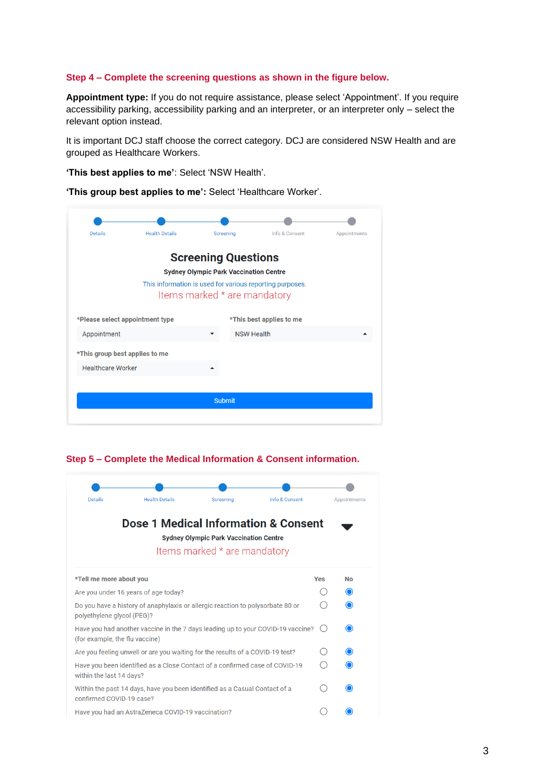#### **Step 4 – Complete the screening questions as shown in the figure below.**

**Appointment type:** If you do not require assistance, please select 'Appointment'. If you require accessibility parking, accessibility parking and an interpreter, or an interpreter only – select the relevant option instead.

It is important DCJ staff choose the correct category. DCJ are considered NSW Health and are grouped as Healthcare Workers.

**'This best applies to me'**: Select 'NSW Health'.

**'This group best applies to me':** Select 'Healthcare Worker'.

| <b>Details</b>                 | <b>Health Details</b>           | Screening                                                                     | Info & Consent                                           | Appointments |
|--------------------------------|---------------------------------|-------------------------------------------------------------------------------|----------------------------------------------------------|--------------|
|                                |                                 | <b>Screening Questions</b>                                                    |                                                          |              |
|                                |                                 | <b>Sydney Olympic Park Vaccination Centre</b><br>Items marked * are mandatory | This information is used for various reporting purposes. |              |
|                                | *Please select appointment type |                                                                               | *This best applies to me                                 |              |
| Appointment                    |                                 |                                                                               | <b>NSW Health</b>                                        |              |
| *This group best applies to me |                                 |                                                                               |                                                          |              |
| <b>Healthcare Worker</b>       |                                 |                                                                               |                                                          |              |
|                                |                                 |                                                                               |                                                          |              |
|                                |                                 | <b>Submit</b>                                                                 |                                                          |              |
|                                |                                 |                                                                               |                                                          |              |

**Step 5 – Complete the Medical Information & Consent information.** 

| <b>Details</b>                 | <b>Health Details</b>                                                           | Screening                                                                     | Info & Consent |            | Appointments |
|--------------------------------|---------------------------------------------------------------------------------|-------------------------------------------------------------------------------|----------------|------------|--------------|
|                                | Dose 1 Medical Information & Consent                                            | <b>Sydney Olympic Park Vaccination Centre</b><br>Items marked * are mandatory |                |            |              |
| *Tell me more about you        |                                                                                 |                                                                               |                | <b>Yes</b> | <b>No</b>    |
|                                | Are you under 16 years of age today?                                            |                                                                               |                |            | ∩            |
| polyethylene glycol (PEG)?     | Do you have a history of anaphylaxis or allergic reaction to polysorbate 80 or  |                                                                               |                |            | ∩            |
| (for example, the flu vaccine) | Have you had another vaccine in the 7 days leading up to your COVID-19 vaccine? |                                                                               |                |            | ⊙            |
|                                | Are you feeling unwell or are you waiting for the results of a COVID-19 test?   |                                                                               |                |            |              |
| within the last 14 days?       | Have you been identified as a Close Contact of a confirmed case of COVID-19     |                                                                               |                |            |              |
| confirmed COVID-19 case?       | Within the past 14 days, have you been identified as a Casual Contact of a      |                                                                               |                |            |              |
|                                | Have you had an AstraZeneca COVID-19 vaccination?                               |                                                                               |                |            |              |